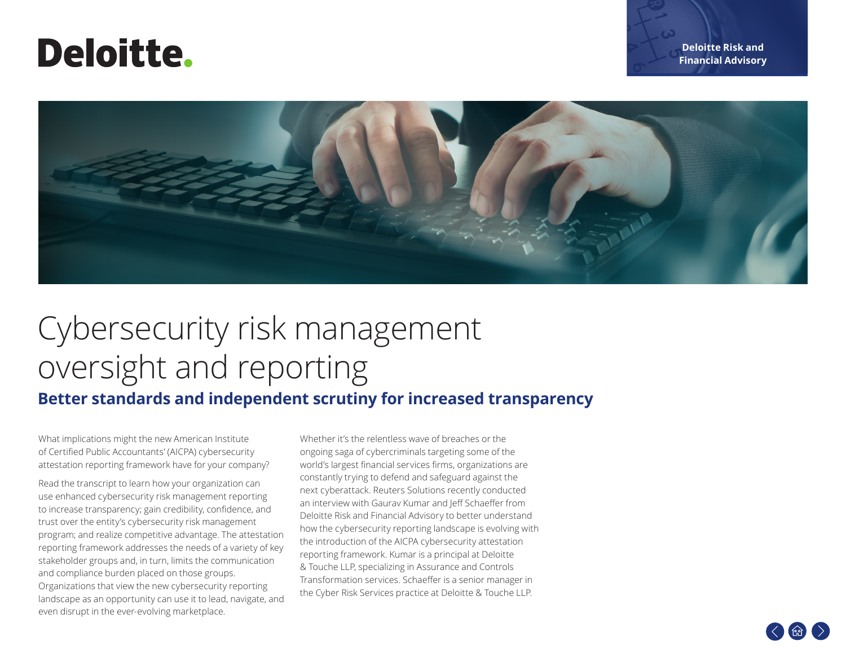# **Deloitte.**



# Cybersecurity risk management oversight and reporting

### **Better standards and independent scrutiny for increased transparency**

What implications might the new American Institute of Certified Public Accountants' (AICPA) cybersecurity attestation reporting framework have for your company?

Read the transcript to learn how your organization can use enhanced cybersecurity risk management reporting to increase transparency; gain credibility, confidence, and trust over the entity's cybersecurity risk management program; and realize competitive advantage. The attestation reporting framework addresses the needs of a variety of key stakeholder groups and, in turn, limits the communication and compliance burden placed on those groups. Organizations that view the new cybersecurity reporting landscape as an opportunity can use it to lead, navigate, and even disrupt in the ever-evolving marketplace.

Whether it's the relentless wave of breaches or the ongoing saga of cybercriminals targeting some of the world's largest financial services firms, organizations are constantly trying to defend and safeguard against the next cyberattack. Reuters Solutions recently conducted an interview with Gaurav Kumar and Jeff Schaeffer from Deloitte Risk and Financial Advisory to better understand how the cybersecurity reporting landscape is evolving with the introduction of the AICPA cybersecurity attestation reporting framework. Kumar is a principal at Deloitte & Touche LLP, specializing in Assurance and Controls Transformation services. Schaeffer is a senior manager in the Cyber Risk Services practice at Deloitte & Touche LLP.

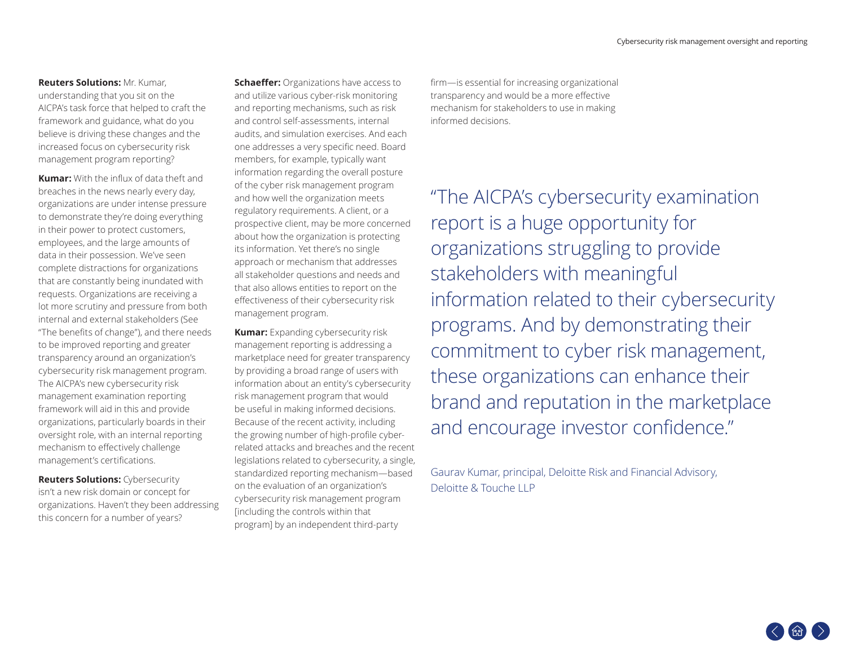#### **Reuters Solutions:** Mr. Kumar,

understanding that you sit on the AICPA's task force that helped to craft the framework and guidance, what do you believe is driving these changes and the increased focus on cybersecurity risk management program reporting?

**Kumar:** With the influx of data theft and breaches in the news nearly every day, organizations are under intense pressure to demonstrate they're doing everything in their power to protect customers, employees, and the large amounts of data in their possession. We've seen complete distractions for organizations that are constantly being inundated with requests. Organizations are receiving a lot more scrutiny and pressure from both internal and external stakeholders (See "The benefits of change"), and there needs to be improved reporting and greater transparency around an organization's cybersecurity risk management program. The AICPA's new cybersecurity risk management examination reporting framework will aid in this and provide organizations, particularly boards in their oversight role, with an internal reporting mechanism to effectively challenge management's certifications.

**Reuters Solutions:** Cybersecurity isn't a new risk domain or concept for organizations. Haven't they been addressing this concern for a number of years?

**Schaeffer:** Organizations have access to and utilize various cyber-risk monitoring and reporting mechanisms, such as risk and control self-assessments, internal audits, and simulation exercises. And each one addresses a very specific need. Board members, for example, typically want information regarding the overall posture of the cyber risk management program and how well the organization meets regulatory requirements. A client, or a prospective client, may be more concerned about how the organization is protecting its information. Yet there's no single approach or mechanism that addresses all stakeholder questions and needs and that also allows entities to report on the effectiveness of their cybersecurity risk management program.

**Kumar:** Expanding cybersecurity risk management reporting is addressing a marketplace need for greater transparency by providing a broad range of users with information about an entity's cybersecurity risk management program that would be useful in making informed decisions. Because of the recent activity, including the growing number of high-profile cyberrelated attacks and breaches and the recent legislations related to cybersecurity, a single, standardized reporting mechanism—based on the evaluation of an organization's cybersecurity risk management program [including the controls within that program] by an independent third-party

firm—is essential for increasing organizational transparency and would be a more effective mechanism for stakeholders to use in making informed decisions.

"The AICPA's cybersecurity examination report is a huge opportunity for organizations struggling to provide stakeholders with meaningful information related to their cybersecurity programs. And by demonstrating their commitment to cyber risk management, these organizations can enhance their brand and reputation in the marketplace and encourage investor confidence."

Gaurav Kumar, principal, Deloitte Risk and Financial Advisory, Deloitte & Touche LLP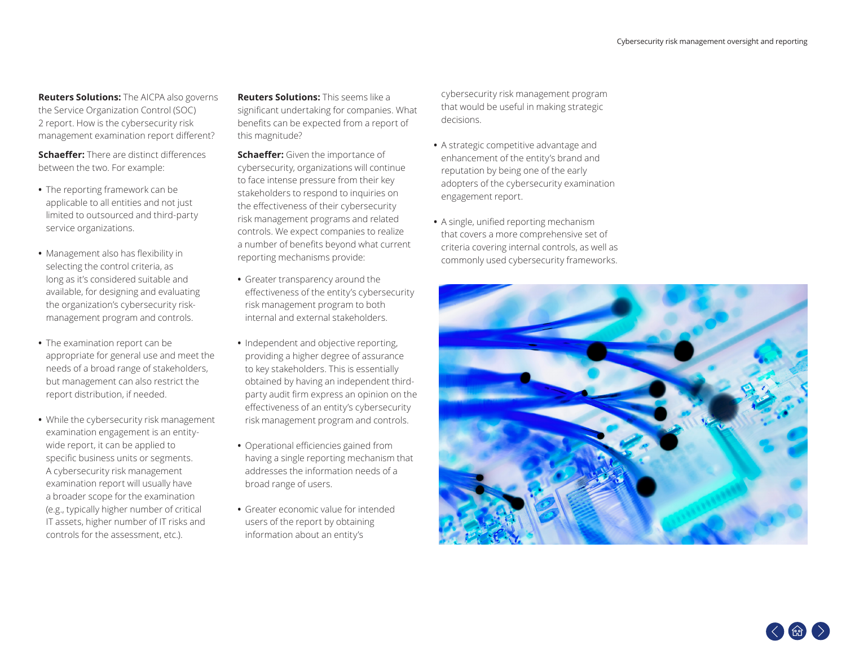**Reuters Solutions:** The AICPA also governs the Service Organization Control (SOC) 2 report. How is the cybersecurity risk management examination report different?

**Schaeffer:** There are distinct differences between the two. For example:

- **•** The reporting framework can be applicable to all entities and not just limited to outsourced and third-party service organizations.
- **•** Management also has flexibility in selecting the control criteria, as long as it's considered suitable and available, for designing and evaluating the organization's cybersecurity riskmanagement program and controls.
- **•** The examination report can be appropriate for general use and meet the needs of a broad range of stakeholders, but management can also restrict the report distribution, if needed.
- **•** While the cybersecurity risk management examination engagement is an entitywide report, it can be applied to specific business units or segments. A cybersecurity risk management examination report will usually have a broader scope for the examination (e.g., typically higher number of critical IT assets, higher number of IT risks and controls for the assessment, etc.).

**Reuters Solutions:** This seems like a significant undertaking for companies. What benefits can be expected from a report of this magnitude?

**Schaeffer:** Given the importance of cybersecurity, organizations will continue to face intense pressure from their key stakeholders to respond to inquiries on the effectiveness of their cybersecurity risk management programs and related controls. We expect companies to realize a number of benefits beyond what current reporting mechanisms provide:

- **•** Greater transparency around the effectiveness of the entity's cybersecurity risk management program to both internal and external stakeholders.
- **•** Independent and objective reporting, providing a higher degree of assurance to key stakeholders. This is essentially obtained by having an independent thirdparty audit firm express an opinion on the effectiveness of an entity's cybersecurity risk management program and controls.
- **•** Operational efficiencies gained from having a single reporting mechanism that addresses the information needs of a broad range of users.
- **•** Greater economic value for intended users of the report by obtaining information about an entity's

cybersecurity risk management program that would be useful in making strategic decisions.

- **•** A strategic competitive advantage and enhancement of the entity's brand and reputation by being one of the early adopters of the cybersecurity examination engagement report.
- **•** A single, unified reporting mechanism that covers a more comprehensive set of criteria covering internal controls, as well as commonly used cybersecurity frameworks.

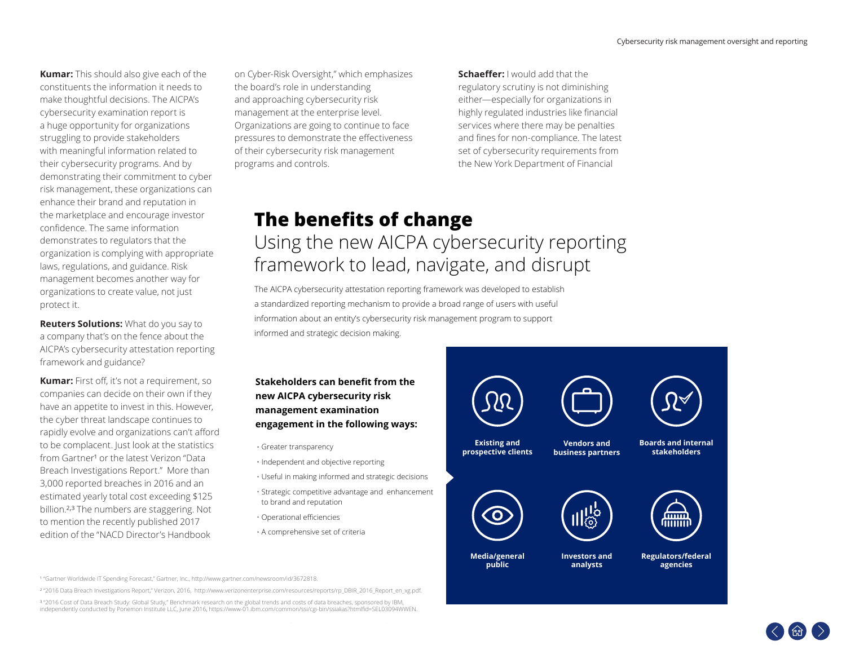**Kumar:** This should also give each of the constituents the information it needs to make thoughtful decisions. The AICPA's cybersecurity examination report is a huge opportunity for organizations struggling to provide stakeholders with meaningful information related to their cybersecurity programs. And by demonstrating their commitment to cyber risk management, these organizations can enhance their brand and reputation in the marketplace and encourage investor confidence. The same information demonstrates to regulators that the organization is complying with appropriate laws, regulations, and guidance. Risk management becomes another way for organizations to create value, not just protect it.

**Reuters Solutions:** What do you say to a company that's on the fence about the AICPA's cybersecurity attestation reporting framework and guidance?

**Kumar:** First off, it's not a requirement, so companies can decide on their own if they have an appetite to invest in this. However, the cyber threat landscape continues to rapidly evolve and organizations can't afford to be complacent. Just look at the statistics from Gartner<sup>1</sup> or the latest Verizon "Data Breach Investigations Report." More than 3,000 reported breaches in 2016 and an estimated yearly total cost exceeding \$125 billion.<sup>2,3</sup> The numbers are staggering. Not to mention the recently published 2017 edition of the "NACD Director's Handbook

on Cyber-Risk Oversight," which emphasizes the board's role in understanding and approaching cybersecurity risk management at the enterprise level. Organizations are going to continue to face pressures to demonstrate the effectiveness of their cybersecurity risk management programs and controls.

**Schaeffer:** I would add that the regulatory scrutiny is not diminishing either—especially for organizations in highly regulated industries like financial services where there may be penalties and fines for non-compliance. The latest set of cybersecurity requirements from the New York Department of Financial

### **The benefits of change** Using the new AICPA cybersecurity reporting framework to lead, navigate, and disrupt

The AICPA cybersecurity attestation reporting framework was developed to establish a standardized reporting mechanism to provide a broad range of users with useful information about an entity's cybersecurity risk management program to support informed and strategic decision making.

**Stakeholders can benefit from the new AICPA cybersecurity risk management examination engagement in the following ways:**

- 
- · Independent and objective reporting
- Useful in making informed and strategic decisions
- Strategic competitive advantage and enhancement to brand and reputation
- Operational efficiencies
- A comprehensive set of criteria



<sup>1</sup> "Gartner Worldwide IT Spending Forecast," Gartner, Inc., http://www.gartner.com/newsroom/id/3672818.

<sup>2</sup> "2016 Data Breach Investigations Report," Verizon, 2016, http://www.verizonenterprise.com/resources/reports/rp\_DBIR\_2016\_Report\_en\_xg.pdf.

<sup>3</sup> "2016 Cost of Data Breach Study: Global Study," Benchmark research on the global trends and costs of data breaches, sponsored by IBM, independently conducted by Ponemon Institute LLC, June 2016, https://www-01.ibm.com/common/ssi/cgi-bin/ssialias?htmlfid=SEL03094WWEN.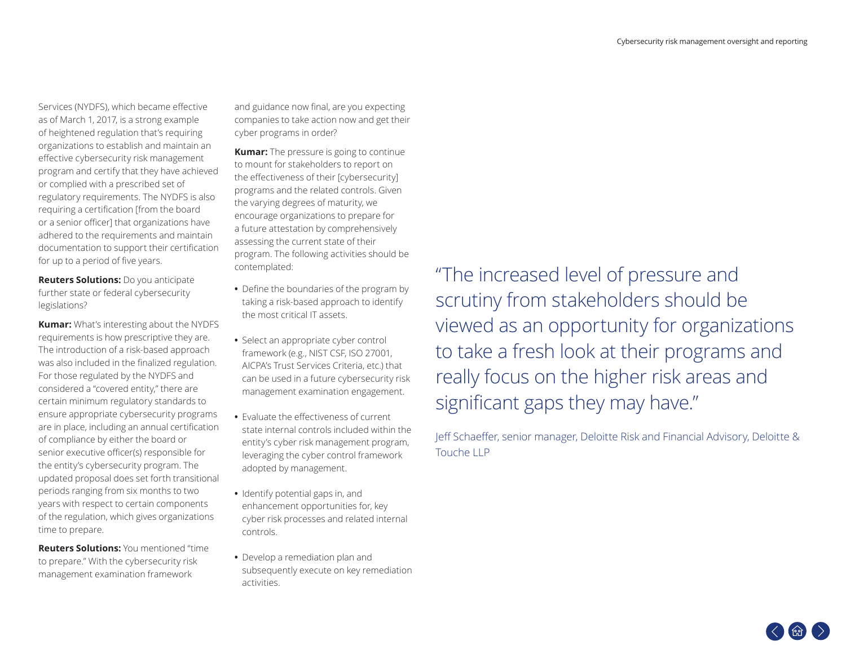Services (NYDFS), which became effective as of March 1, 2017, is a strong example of heightened regulation that's requiring organizations to establish and maintain an effective cybersecurity risk management program and certify that they have achieved or complied with a prescribed set of regulatory requirements. The NYDFS is also requiring a certification [from the board or a senior officer] that organizations have adhered to the requirements and maintain documentation to support their certification for up to a period of five years.

**Reuters Solutions:** Do you anticipate further state or federal cybersecurity legislations?

**Kumar:** What's interesting about the NYDFS requirements is how prescriptive they are. The introduction of a risk-based approach was also included in the finalized regulation. For those regulated by the NYDFS and considered a "covered entity," there are certain minimum regulatory standards to ensure appropriate cybersecurity programs are in place, including an annual certification of compliance by either the board or senior executive officer(s) responsible for the entity's cybersecurity program. The updated proposal does set forth transitional periods ranging from six months to two years with respect to certain components of the regulation, which gives organizations time to prepare.

**Reuters Solutions:** You mentioned "time to prepare." With the cybersecurity risk management examination framework

and guidance now final, are you expecting companies to take action now and get their cyber programs in order?

**Kumar:** The pressure is going to continue to mount for stakeholders to report on the effectiveness of their [cybersecurity] programs and the related controls. Given the varying degrees of maturity, we encourage organizations to prepare for a future attestation by comprehensively assessing the current state of their program. The following activities should be contemplated:

- **•** Define the boundaries of the program by taking a risk-based approach to identify the most critical IT assets.
- **•** Select an appropriate cyber control framework (e.g., NIST CSF, ISO 27001, AICPA's Trust Services Criteria, etc.) that can be used in a future cybersecurity risk management examination engagement.
- **•** Evaluate the effectiveness of current state internal controls included within the entity's cyber risk management program, leveraging the cyber control framework adopted by management.
- **•** Identify potential gaps in, and enhancement opportunities for, key cyber risk processes and related internal controls.
- **•** Develop a remediation plan and subsequently execute on key remediation activities.

"The increased level of pressure and scrutiny from stakeholders should be viewed as an opportunity for organizations to take a fresh look at their programs and really focus on the higher risk areas and significant gaps they may have."

Jeff Schaeffer, senior manager, Deloitte Risk and Financial Advisory, Deloitte & Touche LLP